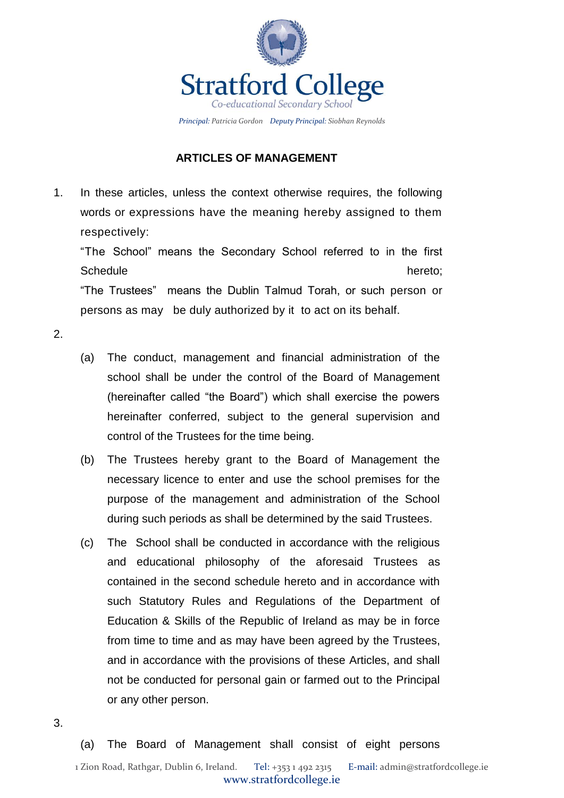

### **ARTICLES OF MANAGEMENT**

1. In these articles, unless the context otherwise requires, the following words or expressions have the meaning hereby assigned to them respectively:

"The School" means the Secondary School referred to in the first Schedule hereto; http://www.factbook.com/inductory/inductory/inductory/inductory/inductory/inductory/inductory "The Trustees" means the Dublin Talmud Torah, or such person or persons as may be duly authorized by it to act on its behalf.

- <span id="page-0-0"></span>2.
- (a) The conduct, management and financial administration of the school shall be under the control of the Board of Management (hereinafter called "the Board") which shall exercise the powers hereinafter conferred, subject to the general supervision and control of the Trustees for the time being.
- (b) The Trustees hereby grant to the Board of Management the necessary licence to enter and use the school premises for the purpose of the management and administration of the School during such periods as shall be determined by the said Trustees.
- (c) The School shall be conducted in accordance with the religious and educational philosophy of the aforesaid Trustees as contained in the second schedule hereto and in accordance with such Statutory Rules and Regulations of the Department of Education & Skills of the Republic of Ireland as may be in force from time to time and as may have been agreed by the Trustees, and in accordance with the provisions of these Articles, and shall not be conducted for personal gain or farmed out to the Principal or any other person.
- 3.

(a) The Board of Management shall consist of eight persons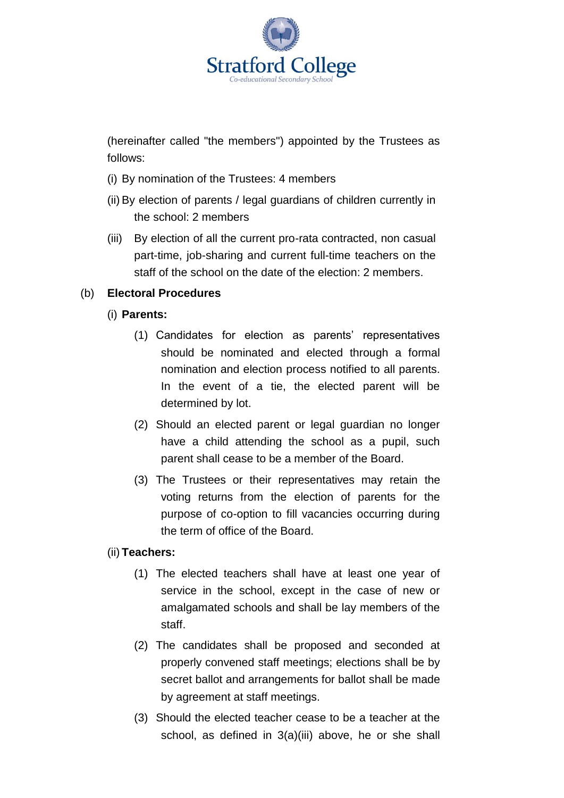

(hereinafter called "the members") appointed by the Trustees as follows:

- (i) By nomination of the Trustees: 4 members
- <span id="page-1-1"></span>(ii) By election of parents / legal guardians of children currently in the school: 2 members
- <span id="page-1-0"></span>(iii) By election of all the current pro-rata contracted, non casual part-time, job-sharing and current full-time teachers on the staff of the school on the date of the election: 2 members.

## (b) **Electoral Procedures**

- (i) **Parents:**
	- (1) Candidates for election as parents' representatives should be nominated and elected through a formal nomination and election process notified to all parents. In the event of a tie, the elected parent will be determined by lot.
	- (2) Should an elected parent or legal guardian no longer have a child attending the school as a pupil, such parent shall cease to be a member of the Board.
	- (3) The Trustees or their representatives may retain the voting returns from the election of parents for the purpose of co-option to fill vacancies occurring during the term of office of the Board.

### (ii) **Teachers:**

- (1) The elected teachers shall have at least one year of service in the school, except in the case of new or amalgamated schools and shall be lay members of the staff.
- (2) The candidates shall be proposed and seconded at properly convened staff meetings; elections shall be by secret ballot and arrangements for ballot shall be made by agreement at staff meetings.
- (3) Should the elected teacher cease to be a teacher at the school, as defined in [3\(a\)\(iii\) above,](#page-1-0) he or she shall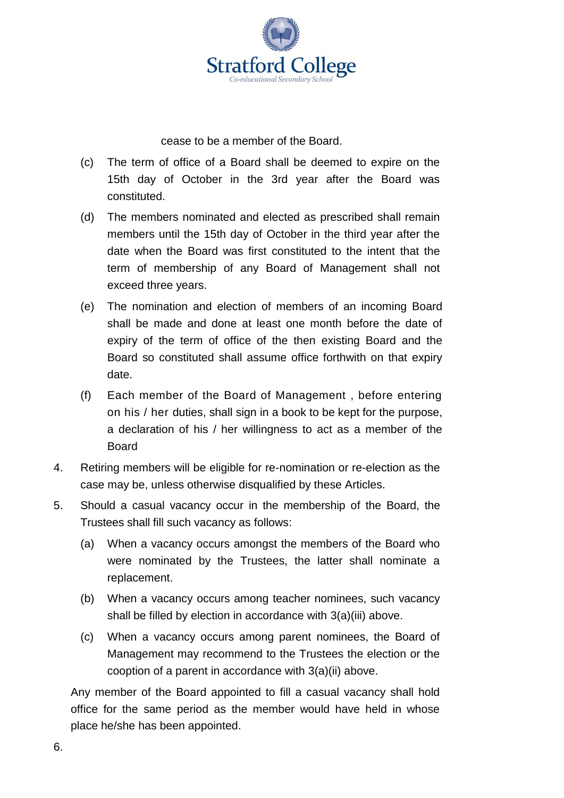

cease to be a member of the Board.

- (c) The term of office of a Board shall be deemed to expire on the 15th day of October in the 3rd year after the Board was constituted.
- (d) The members nominated and elected as prescribed shall remain members until the 15th day of October in the third year after the date when the Board was first constituted to the intent that the term of membership of any Board of Management shall not exceed three years.
- (e) The nomination and election of members of an incoming Board shall be made and done at least one month before the date of expiry of the term of office of the then existing Board and the Board so constituted shall assume office forthwith on that expiry date.
- (f) Each member of the Board of Management , before entering on his / her duties, shall sign in a book to be kept for the purpose, a declaration of his / her willingness to act as a member of the Board
- 4. Retiring members will be eligible for re-nomination or re-election as the case may be, unless otherwise disqualified by these Articles.
- 5. Should a casual vacancy occur in the membership of the Board, the Trustees shall fill such vacancy as follows:
	- (a) When a vacancy occurs amongst the members of the Board who were nominated by the Trustees, the latter shall nominate a replacement.
	- (b) When a vacancy occurs among teacher nominees, such vacancy shall be filled by election in accordance with [3\(a\)\(iii\) above.](#page-1-0)
	- (c) When a vacancy occurs among parent nominees, the Board of Management may recommend to the Trustees the election or the cooption of a parent in accordance with [3\(a\)\(ii\) above.](#page-1-1)

Any member of the Board appointed to fill a casual vacancy shall hold office for the same period as the member would have held in whose place he/she has been appointed.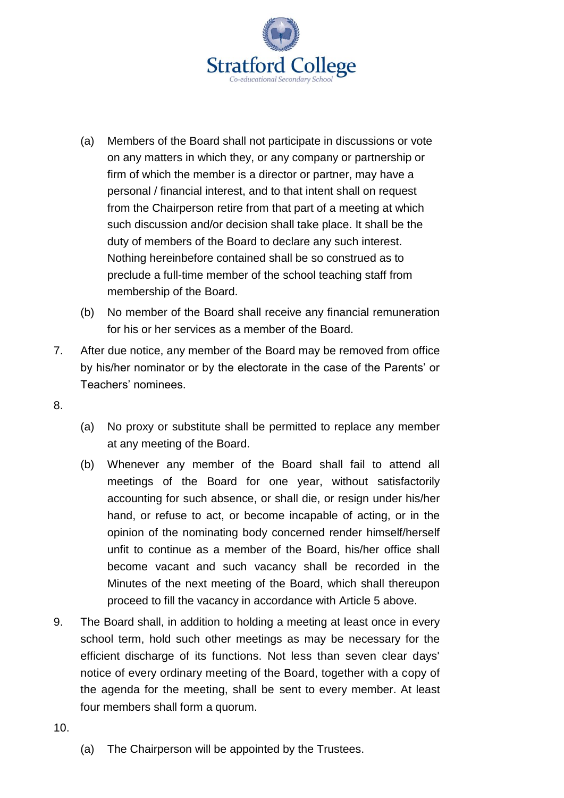

- (a) Members of the Board shall not participate in discussions or vote on any matters in which they, or any company or partnership or firm of which the member is a director or partner, may have a personal / financial interest, and to that intent shall on request from the Chairperson retire from that part of a meeting at which such discussion and/or decision shall take place. It shall be the duty of members of the Board to declare any such interest. Nothing hereinbefore contained shall be so construed as to preclude a full-time member of the school teaching staff from membership of the Board.
- (b) No member of the Board shall receive any financial remuneration for his or her services as a member of the Board.
- 7. After due notice, any member of the Board may be removed from office by his/her nominator or by the electorate in the case of the Parents' or Teachers' nominees.
- 8.
- (a) No proxy or substitute shall be permitted to replace any member at any meeting of the Board.
- (b) Whenever any member of the Board shall fail to attend all meetings of the Board for one year, without satisfactorily accounting for such absence, or shall die, or resign under his/her hand, or refuse to act, or become incapable of acting, or in the opinion of the nominating body concerned render himself/herself unfit to continue as a member of the Board, his/her office shall become vacant and such vacancy shall be recorded in the Minutes of the next meeting of the Board, which shall thereupon proceed to fill the vacancy in accordance with Article 5 above.
- 9. The Board shall, in addition to holding a meeting at least once in every school term, hold such other meetings as may be necessary for the efficient discharge of its functions. Not less than seven clear days' notice of every ordinary meeting of the Board, together with a copy of the agenda for the meeting, shall be sent to every member. At least four members shall form a quorum.
- 10.
- (a) The Chairperson will be appointed by the Trustees.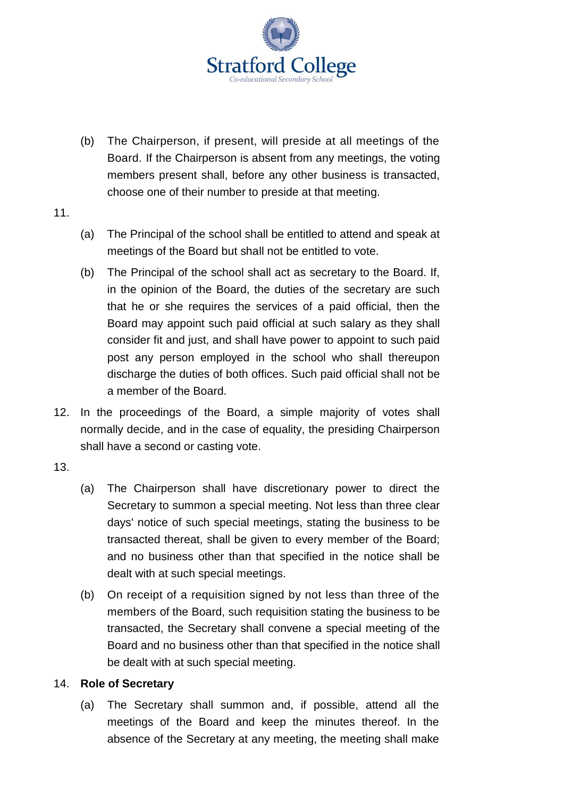

- (b) The Chairperson, if present, will preside at all meetings of the Board. If the Chairperson is absent from any meetings, the voting members present shall, before any other business is transacted, choose one of their number to preside at that meeting.
- 11.
- (a) The Principal of the school shall be entitled to attend and speak at meetings of the Board but shall not be entitled to vote.
- (b) The Principal of the school shall act as secretary to the Board. If, in the opinion of the Board, the duties of the secretary are such that he or she requires the services of a paid official, then the Board may appoint such paid official at such salary as they shall consider fit and just, and shall have power to appoint to such paid post any person employed in the school who shall thereupon discharge the duties of both offices. Such paid official shall not be a member of the Board.
- 12. In the proceedings of the Board, a simple majority of votes shall normally decide, and in the case of equality, the presiding Chairperson shall have a second or casting vote.
- 13.
- (a) The Chairperson shall have discretionary power to direct the Secretary to summon a special meeting. Not less than three clear days' notice of such special meetings, stating the business to be transacted thereat, shall be given to every member of the Board; and no business other than that specified in the notice shall be dealt with at such special meetings.
- (b) On receipt of a requisition signed by not less than three of the members of the Board, such requisition stating the business to be transacted, the Secretary shall convene a special meeting of the Board and no business other than that specified in the notice shall be dealt with at such special meeting.

### 14. **Role of Secretary**

(a) The Secretary shall summon and, if possible, attend all the meetings of the Board and keep the minutes thereof. In the absence of the Secretary at any meeting, the meeting shall make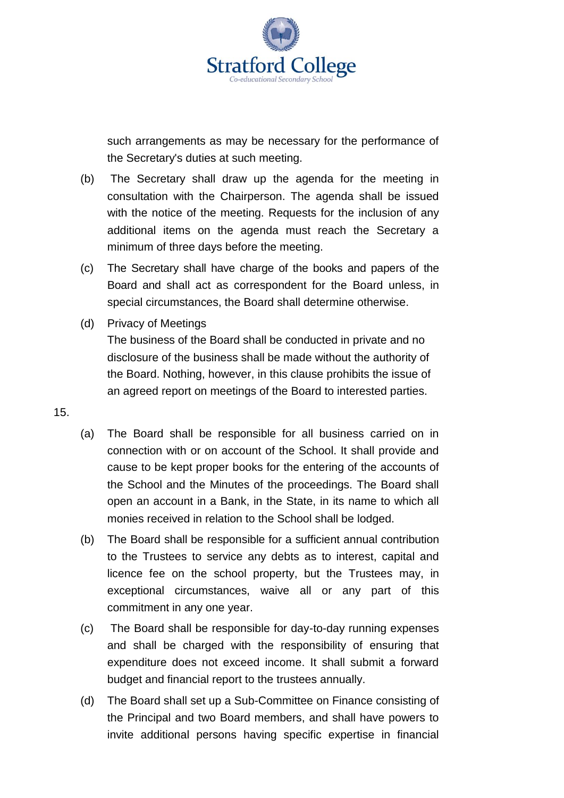

such arrangements as may be necessary for the performance of the Secretary's duties at such meeting.

- (b) The Secretary shall draw up the agenda for the meeting in consultation with the Chairperson. The agenda shall be issued with the notice of the meeting. Requests for the inclusion of any additional items on the agenda must reach the Secretary a minimum of three days before the meeting.
- (c) The Secretary shall have charge of the books and papers of the Board and shall act as correspondent for the Board unless, in special circumstances, the Board shall determine otherwise.
- (d) Privacy of Meetings

The business of the Board shall be conducted in private and no disclosure of the business shall be made without the authority of the Board. Nothing, however, in this clause prohibits the issue of an agreed report on meetings of the Board to interested parties.

- 15.
- (a) The Board shall be responsible for all business carried on in connection with or on account of the School. It shall provide and cause to be kept proper books for the entering of the accounts of the School and the Minutes of the proceedings. The Board shall open an account in a Bank, in the State, in its name to which all monies received in relation to the School shall be lodged.
- (b) The Board shall be responsible for a sufficient annual contribution to the Trustees to service any debts as to interest, capital and licence fee on the school property, but the Trustees may, in exceptional circumstances, waive all or any part of this commitment in any one year.
- <span id="page-5-0"></span>(c) The Board shall be responsible for day-to-day running expenses and shall be charged with the responsibility of ensuring that expenditure does not exceed income. It shall submit a forward budget and financial report to the trustees annually.
- (d) The Board shall set up a Sub-Committee on Finance consisting of the Principal and two Board members, and shall have powers to invite additional persons having specific expertise in financial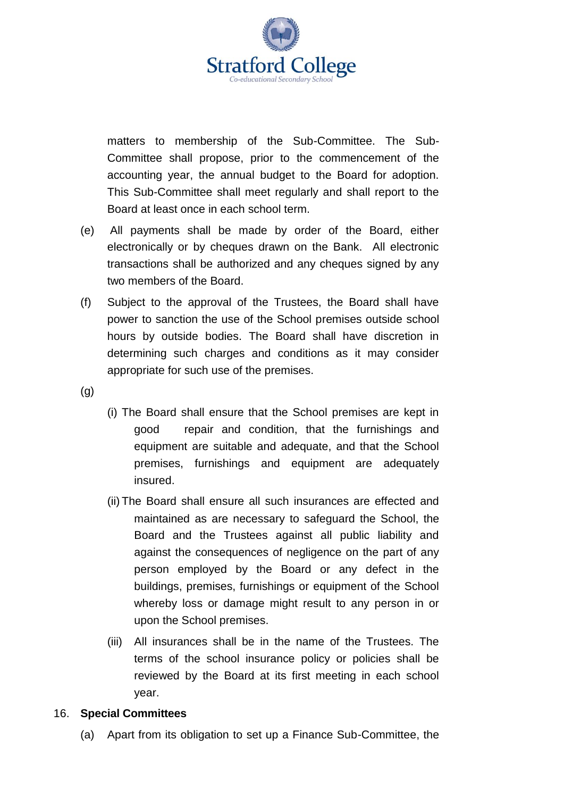

matters to membership of the Sub-Committee. The Sub-Committee shall propose, prior to the commencement of the accounting year, the annual budget to the Board for adoption. This Sub-Committee shall meet regularly and shall report to the Board at least once in each school term.

- (e) All payments shall be made by order of the Board, either electronically or by cheques drawn on the Bank. All electronic transactions shall be authorized and any cheques signed by any two members of the Board.
- (f) Subject to the approval of the Trustees, the Board shall have power to sanction the use of the School premises outside school hours by outside bodies. The Board shall have discretion in determining such charges and conditions as it may consider appropriate for such use of the premises.
- (g)
- (i) The Board shall ensure that the School premises are kept in good repair and condition, that the furnishings and equipment are suitable and adequate, and that the School premises, furnishings and equipment are adequately insured.
- (ii) The Board shall ensure all such insurances are effected and maintained as are necessary to safeguard the School, the Board and the Trustees against all public liability and against the consequences of negligence on the part of any person employed by the Board or any defect in the buildings, premises, furnishings or equipment of the School whereby loss or damage might result to any person in or upon the School premises.
- (iii) All insurances shall be in the name of the Trustees. The terms of the school insurance policy or policies shall be reviewed by the Board at its first meeting in each school year.

#### 16. **Special Committees**

(a) Apart from its obligation to set up a Finance Sub-Committee, the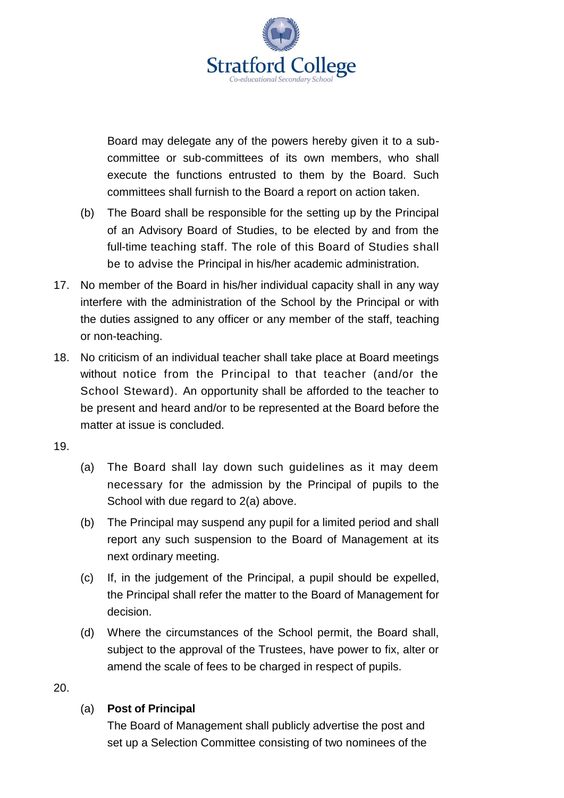Board may delegate any of the powers hereby given it to a subcommittee or sub-committees of its own members, who shall execute the functions entrusted to them by the Board. Such committees shall furnish to the Board a report on action taken.

- (b) The Board shall be responsible for the setting up by the Principal of an Advisory Board of Studies, to be elected by and from the full-time teaching staff. The role of this Board of Studies shall be to advise the Principal in his/her academic administration.
- 17. No member of the Board in his/her individual capacity shall in any way interfere with the administration of the School by the Principal or with the duties assigned to any officer or any member of the staff, teaching or non-teaching.
- 18. No criticism of an individual teacher shall take place at Board meetings without notice from the Principal to that teacher (and/or the School Steward). An opportunity shall be afforded to the teacher to be present and heard and/or to be represented at the Board before the matter at issue is concluded.
- 19.
- (a) The Board shall lay down such guidelines as it may deem necessary for the admission by the Principal of pupils to the School with due regard to [2\(a\) above.](#page-0-0)
- (b) The Principal may suspend any pupil for a limited period and shall report any such suspension to the Board of Management at its next ordinary meeting.
- (c) If, in the judgement of the Principal, a pupil should be expelled, the Principal shall refer the matter to the Board of Management for decision.
- (d) Where the circumstances of the School permit, the Board shall, subject to the approval of the Trustees, have power to fix, alter or amend the scale of fees to be charged in respect of pupils.
- 20.

## (a) **Post of Principal**

The Board of Management shall publicly advertise the post and set up a Selection Committee consisting of two nominees of the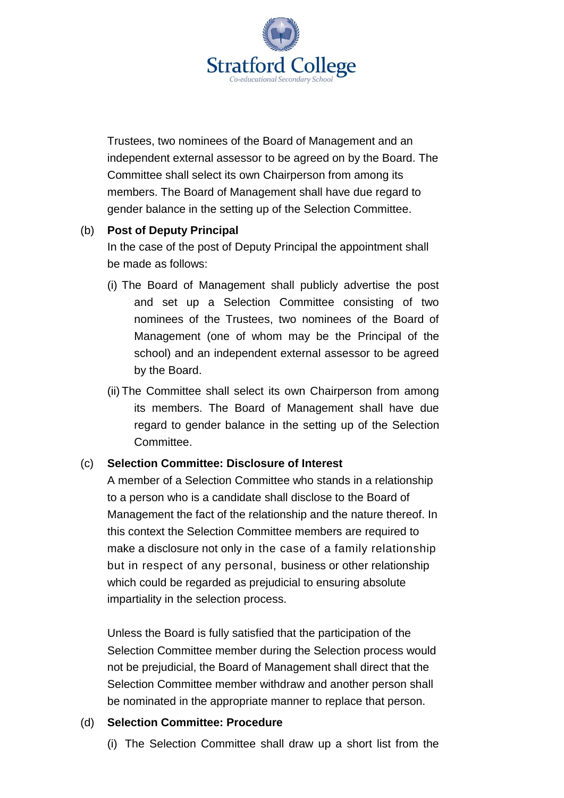Trustees, two nominees of the Board of Management and an independent external assessor to be agreed on by the Board. The Committee shall select its own Chairperson from among its members. The Board of Management shall have due regard to gender balance in the setting up of the Selection Committee.

#### (b) **Post of Deputy Principal**

In the case of the post of Deputy Principal the appointment shall be made as follows:

- (i) The Board of Management shall publicly advertise the post and set up a Selection Committee consisting of two nominees of the Trustees, two nominees of the Board of Management (one of whom may be the Principal of the school) and an independent external assessor to be agreed by the Board.
- (ii) The Committee shall select its own Chairperson from among its members. The Board of Management shall have due regard to gender balance in the setting up of the Selection Committee.

### (c) **Selection Committee: Disclosure of Interest**

A member of a Selection Committee who stands in a relationship to a person who is a candidate shall disclose to the Board of Management the fact of the relationship and the nature thereof. In this context the Selection Committee members are required to make a disclosure not only in the case of a family relationship but in respect of any personal, business or other relationship which could be regarded as prejudicial to ensuring absolute impartiality in the selection process.

Unless the Board is fully satisfied that the participation of the Selection Committee member during the Selection process would not be prejudicial, the Board of Management shall direct that the Selection Committee member withdraw and another person shall be nominated in the appropriate manner to replace that person.

### (d) **Selection Committee: Procedure**

(i) The Selection Committee shall draw up a short list from the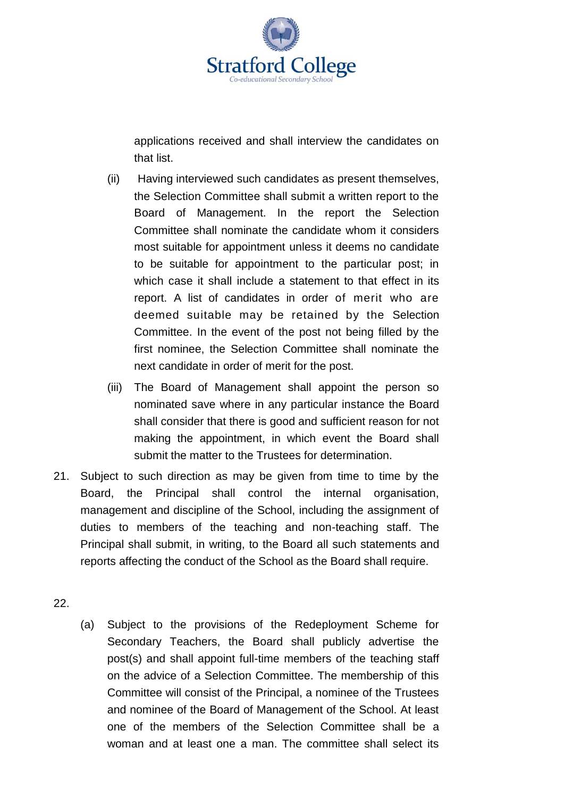

applications received and shall interview the candidates on that list.

- (ii) Having interviewed such candidates as present themselves, the Selection Committee shall submit a written report to the Board of Management. In the report the Selection Committee shall nominate the candidate whom it considers most suitable for appointment unless it deems no candidate to be suitable for appointment to the particular post; in which case it shall include a statement to that effect in its report. A list of candidates in order of merit who are deemed suitable may be retained by the Selection Committee. In the event of the post not being filled by the first nominee, the Selection Committee shall nominate the next candidate in order of merit for the post.
- (iii) The Board of Management shall appoint the person so nominated save where in any particular instance the Board shall consider that there is good and sufficient reason for not making the appointment, in which event the Board shall submit the matter to the Trustees for determination.
- 21. Subject to such direction as may be given from time to time by the Board, the Principal shall control the internal organisation, management and discipline of the School, including the assignment of duties to members of the teaching and non-teaching staff. The Principal shall submit, in writing, to the Board all such statements and reports affecting the conduct of the School as the Board shall require.
- <span id="page-9-0"></span>22.
- (a) Subject to the provisions of the Redeployment Scheme for Secondary Teachers, the Board shall publicly advertise the post(s) and shall appoint full-time members of the teaching staff on the advice of a Selection Committee. The membership of this Committee will consist of the Principal, a nominee of the Trustees and nominee of the Board of Management of the School. At least one of the members of the Selection Committee shall be a woman and at least one a man. The committee shall select its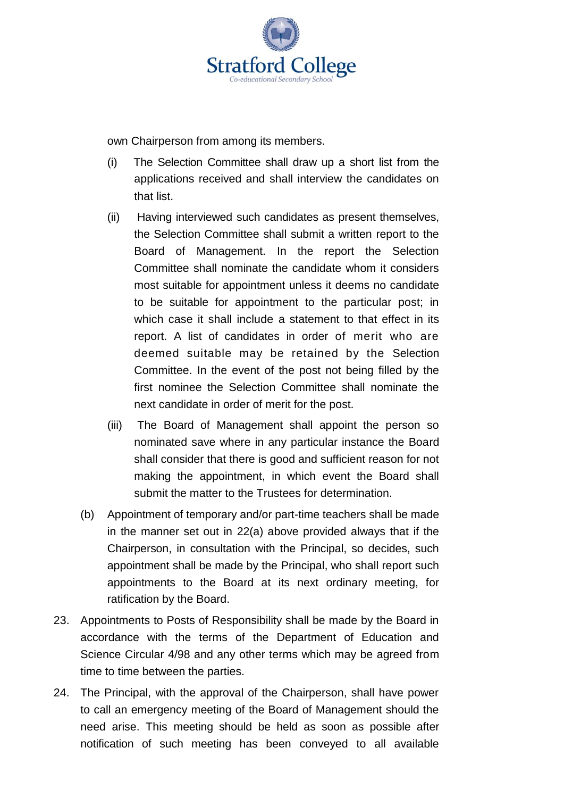

own Chairperson from among its members.

- (i) The Selection Committee shall draw up a short list from the applications received and shall interview the candidates on that list.
- (ii) Having interviewed such candidates as present themselves, the Selection Committee shall submit a written report to the Board of Management. In the report the Selection Committee shall nominate the candidate whom it considers most suitable for appointment unless it deems no candidate to be suitable for appointment to the particular post; in which case it shall include a statement to that effect in its report. A list of candidates in order of merit who are deemed suitable may be retained by the Selection Committee. In the event of the post not being filled by the first nominee the Selection Committee shall nominate the next candidate in order of merit for the post.
- (iii) The Board of Management shall appoint the person so nominated save where in any particular instance the Board shall consider that there is good and sufficient reason for not making the appointment, in which event the Board shall submit the matter to the Trustees for determination.
- <span id="page-10-0"></span>(b) Appointment of temporary and/or part-time teachers shall be made in the manner set out in [22\(a\) above](#page-9-0) provided always that if the Chairperson, in consultation with the Principal, so decides, such appointment shall be made by the Principal, who shall report such appointments to the Board at its next ordinary meeting, for ratification by the Board.
- 23. Appointments to Posts of Responsibility shall be made by the Board in accordance with the terms of the Department of Education and Science Circular 4/98 and any other terms which may be agreed from time to time between the parties.
- 24. The Principal, with the approval of the Chairperson, shall have power to call an emergency meeting of the Board of Management should the need arise. This meeting should be held as soon as possible after notification of such meeting has been conveyed to all available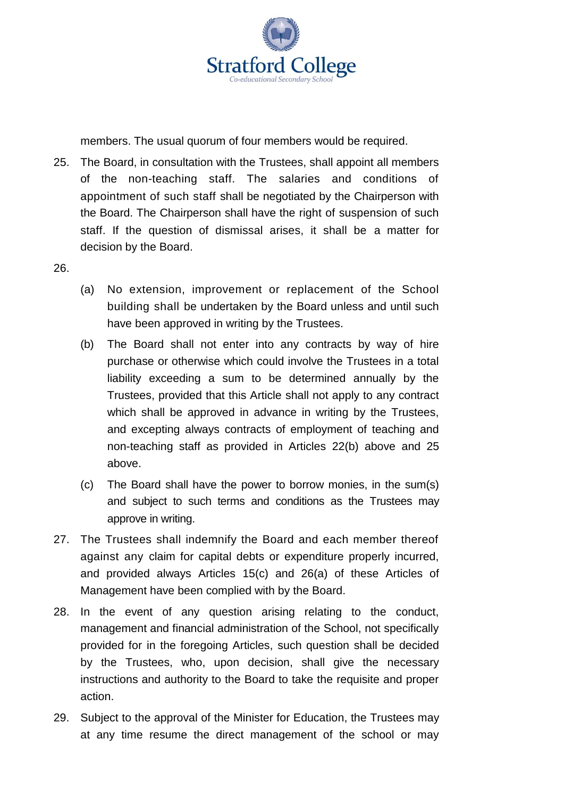members. The usual quorum of four members would be required.

- <span id="page-11-0"></span>25. The Board, in consultation with the Trustees, shall appoint all members of the non-teaching staff. The salaries and conditions of appointment of such staff shall be negotiated by the Chairperson with the Board. The Chairperson shall have the right of suspension of such staff. If the question of dismissal arises, it shall be a matter for decision by the Board.
- <span id="page-11-1"></span>26.
- (a) No extension, improvement or replacement of the School building shall be undertaken by the Board unless and until such have been approved in writing by the Trustees.
- (b) The Board shall not enter into any contracts by way of hire purchase or otherwise which could involve the Trustees in a total liability exceeding a sum to be determined annually by the Trustees, provided that this Article shall not apply to any contract which shall be approved in advance in writing by the Trustees, and excepting always contracts of employment of teaching and non-teaching staff as provided in Articles [22\(b\) above](#page-10-0) and [25](#page-11-0)  [above.](#page-11-0)
- (c) The Board shall have the power to borrow monies, in the sum(s) and subject to such terms and conditions as the Trustees may approve in writing.
- 27. The Trustees shall indemnify the Board and each member thereof against any claim for capital debts or expenditure properly incurred, and provided always Articles [15\(c\)](#page-5-0) and [26\(a\)](#page-11-1) of these Articles of Management have been complied with by the Board.
- 28. In the event of any question arising relating to the conduct, management and financial administration of the School, not specifically provided for in the foregoing Articles, such question shall be decided by the Trustees, who, upon decision, shall give the necessary instructions and authority to the Board to take the requisite and proper action.
- 29. Subject to the approval of the Minister for Education, the Trustees may at any time resume the direct management of the school or may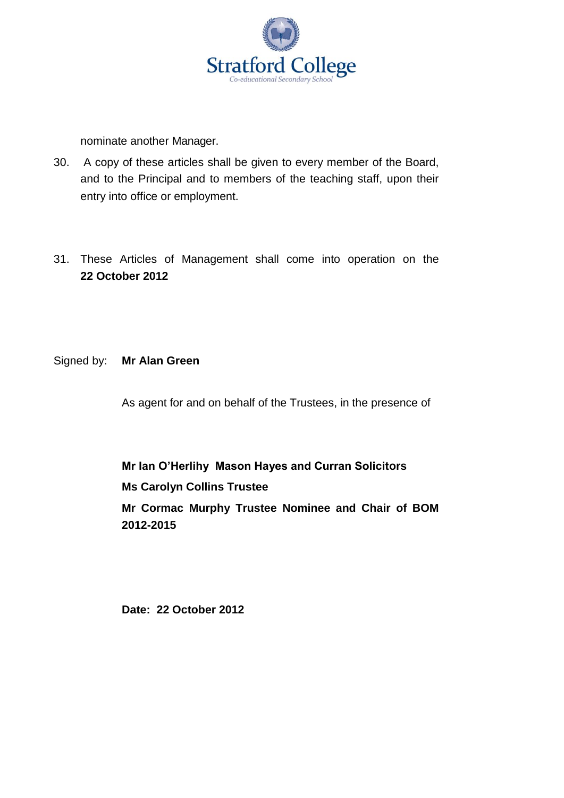

nominate another Manager.

- 30. A copy of these articles shall be given to every member of the Board, and to the Principal and to members of the teaching staff, upon their entry into office or employment.
- 31. These Articles of Management shall come into operation on the **22 October 2012**
- Signed by: **Mr Alan Green**

As agent for and on behalf of the Trustees, in the presence of

**Mr Ian O'Herlihy Mason Hayes and Curran Solicitors Ms Carolyn Collins Trustee Mr Cormac Murphy Trustee Nominee and Chair of BOM 2012-2015**

**Date: 22 October 2012**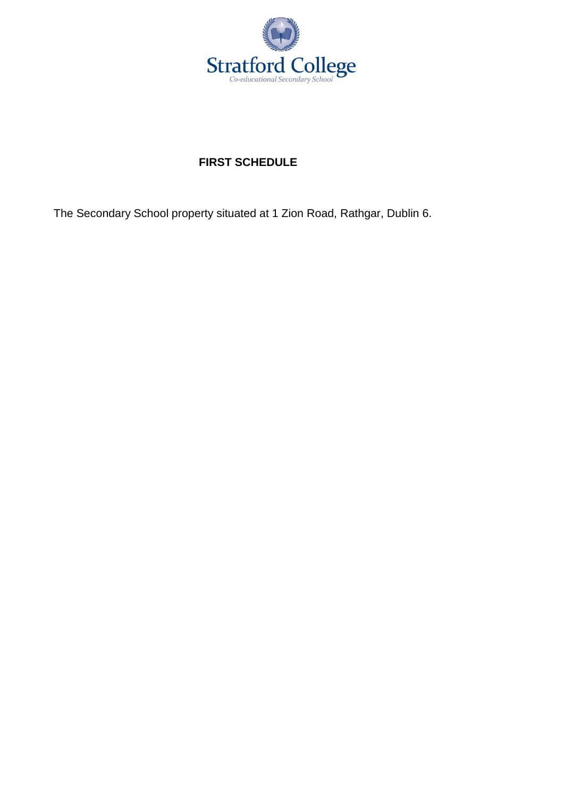

# **FIRST SCHEDULE**

The Secondary School property situated at 1 Zion Road, Rathgar, Dublin 6.